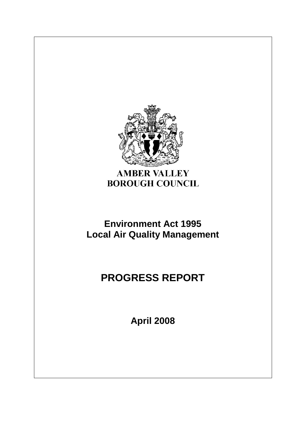

## **AMBER VALLEY BOROUGH COUNCIL**

# **Environment Act 1995 Local Air Quality Management**

# **PROGRESS REPORT**

**April 2008**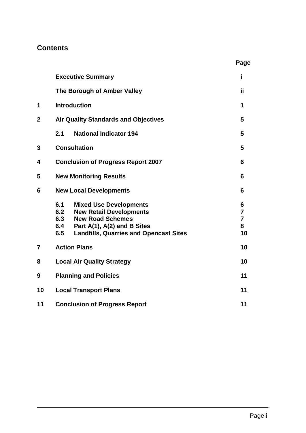## **Contents**

|                | <b>Executive Summary</b>                                                                                                                                                                                      | i                                                |  |  |
|----------------|---------------------------------------------------------------------------------------------------------------------------------------------------------------------------------------------------------------|--------------------------------------------------|--|--|
|                | The Borough of Amber Valley                                                                                                                                                                                   | ïi                                               |  |  |
| 1              | <b>Introduction</b>                                                                                                                                                                                           |                                                  |  |  |
| $\overline{2}$ | <b>Air Quality Standards and Objectives</b>                                                                                                                                                                   | 5                                                |  |  |
|                | 2.1<br><b>National Indicator 194</b>                                                                                                                                                                          | 5                                                |  |  |
| 3              | <b>Consultation</b>                                                                                                                                                                                           | 5                                                |  |  |
| 4              | <b>Conclusion of Progress Report 2007</b>                                                                                                                                                                     |                                                  |  |  |
| 5              | <b>New Monitoring Results</b><br>6                                                                                                                                                                            |                                                  |  |  |
| 6              | <b>New Local Developments</b>                                                                                                                                                                                 |                                                  |  |  |
|                | 6.1<br><b>Mixed Use Developments</b><br>6.2<br><b>New Retail Developments</b><br>6.3<br><b>New Road Schemes</b><br>6.4<br>Part A(1), A(2) and B Sites<br>6.5<br><b>Landfills, Quarries and Opencast Sites</b> | 6<br>$\overline{7}$<br>$\overline{7}$<br>8<br>10 |  |  |
| $\overline{7}$ | <b>Action Plans</b>                                                                                                                                                                                           |                                                  |  |  |
| 8              | <b>Local Air Quality Strategy</b>                                                                                                                                                                             | 10                                               |  |  |
| 9              | <b>Planning and Policies</b>                                                                                                                                                                                  | 11                                               |  |  |
| 10             | 11<br><b>Local Transport Plans</b>                                                                                                                                                                            |                                                  |  |  |
| 11             | 11<br><b>Conclusion of Progress Report</b>                                                                                                                                                                    |                                                  |  |  |

 **Page**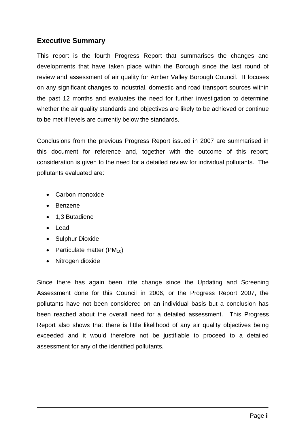## **Executive Summary**

This report is the fourth Progress Report that summarises the changes and developments that have taken place within the Borough since the last round of review and assessment of air quality for Amber Valley Borough Council. It focuses on any significant changes to industrial, domestic and road transport sources within the past 12 months and evaluates the need for further investigation to determine whether the air quality standards and objectives are likely to be achieved or continue to be met if levels are currently below the standards.

Conclusions from the previous Progress Report issued in 2007 are summarised in this document for reference and, together with the outcome of this report; consideration is given to the need for a detailed review for individual pollutants. The pollutants evaluated are:

- Carbon monoxide
- Benzene
- 1.3 Butadiene
- Lead
- Sulphur Dioxide
- Particulate matter  $(PM_{10})$
- Nitrogen dioxide

Since there has again been little change since the Updating and Screening Assessment done for this Council in 2006, or the Progress Report 2007, the pollutants have not been considered on an individual basis but a conclusion has been reached about the overall need for a detailed assessment. This Progress Report also shows that there is little likelihood of any air quality objectives being exceeded and it would therefore not be justifiable to proceed to a detailed assessment for any of the identified pollutants.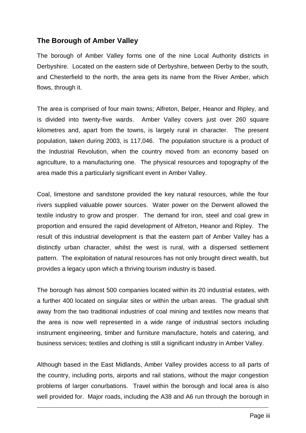## **The Borough of Amber Valley**

The borough of Amber Valley forms one of the nine Local Authority districts in Derbyshire. Located on the eastern side of Derbyshire, between Derby to the south, and Chesterfield to the north, the area gets its name from the River Amber, which flows, through it.

The area is comprised of four main towns; Alfreton, Belper, Heanor and Ripley, and is divided into twenty-five wards. Amber Valley covers just over 260 square kilometres and, apart from the towns, is largely rural in character. The present population, taken during 2003, is 117,046. The population structure is a product of the Industrial Revolution, when the country moved from an economy based on agriculture, to a manufacturing one. The physical resources and topography of the area made this a particularly significant event in Amber Valley.

Coal, limestone and sandstone provided the key natural resources, while the four rivers supplied valuable power sources. Water power on the Derwent allowed the textile industry to grow and prosper. The demand for iron, steel and coal grew in proportion and ensured the rapid development of Alfreton, Heanor and Ripley. The result of this industrial development is that the eastern part of Amber Valley has a distinctly urban character, whilst the west is rural, with a dispersed settlement pattern. The exploitation of natural resources has not only brought direct wealth, but provides a legacy upon which a thriving tourism industry is based.

The borough has almost 500 companies located within its 20 industrial estates, with a further 400 located on singular sites or within the urban areas. The gradual shift away from the two traditional industries of coal mining and textiles now means that the area is now well represented in a wide range of industrial sectors including instrument engineering, timber and furniture manufacture, hotels and catering, and business services; textiles and clothing is still a significant industry in Amber Valley.

Although based in the East Midlands, Amber Valley provides access to all parts of the country, including ports, airports and rail stations, without the major congestion problems of larger conurbations. Travel within the borough and local area is also well provided for. Major roads, including the A38 and A6 run through the borough in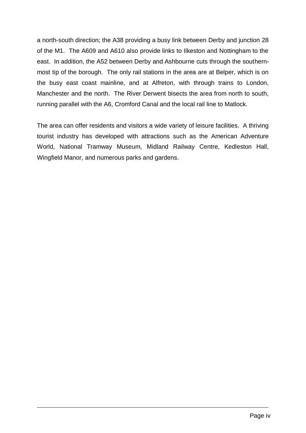a north-south direction; the A38 providing a busy link between Derby and junction 28 of the M1. The A609 and A610 also provide links to Ilkeston and Nottingham to the east. In addition, the A52 between Derby and Ashbourne cuts through the southernmost tip of the borough. The only rail stations in the area are at Belper, which is on the busy east coast mainline, and at Alfreton, with through trains to London, Manchester and the north. The River Derwent bisects the area from north to south, running parallel with the A6, Cromford Canal and the local rail line to Matlock.

The area can offer residents and visitors a wide variety of leisure facilities. A thriving tourist industry has developed with attractions such as the American Adventure World, National Tramway Museum, Midland Railway Centre, Kedleston Hall, Wingfield Manor, and numerous parks and gardens.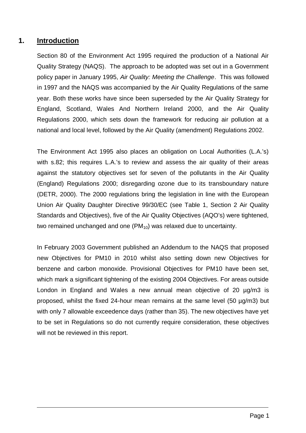## **1. Introduction**

Section 80 of the Environment Act 1995 required the production of a National Air Quality Strategy (NAQS). The approach to be adopted was set out in a Government policy paper in January 1995, *Air Quality: Meeting the Challenge*. This was followed in 1997 and the NAQS was accompanied by the Air Quality Regulations of the same year. Both these works have since been superseded by the Air Quality Strategy for England, Scotland, Wales And Northern Ireland 2000, and the Air Quality Regulations 2000, which sets down the framework for reducing air pollution at a national and local level, followed by the Air Quality (amendment) Regulations 2002.

The Environment Act 1995 also places an obligation on Local Authorities (L.A.'s) with s.82; this requires L.A.'s to review and assess the air quality of their areas against the statutory objectives set for seven of the pollutants in the Air Quality (England) Regulations 2000; disregarding ozone due to its transboundary nature (DETR, 2000). The 2000 regulations bring the legislation in line with the European Union Air Quality Daughter Directive 99/30/EC (see Table 1, Section 2 Air Quality Standards and Objectives), five of the Air Quality Objectives (AQO's) were tightened, two remained unchanged and one  $(PM_{10})$  was relaxed due to uncertainty.

In February 2003 Government published an Addendum to the NAQS that proposed new Objectives for PM10 in 2010 whilst also setting down new Objectives for benzene and carbon monoxide. Provisional Objectives for PM10 have been set, which mark a significant tightening of the existing 2004 Objectives. For areas outside London in England and Wales a new annual mean objective of 20 µg/m3 is proposed, whilst the fixed 24-hour mean remains at the same level (50 µg/m3) but with only 7 allowable exceedence days (rather than 35). The new objectives have yet to be set in Regulations so do not currently require consideration, these objectives will not be reviewed in this report.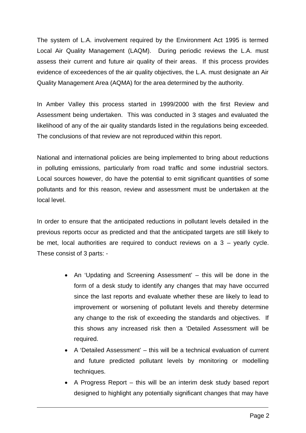The system of L.A. involvement required by the Environment Act 1995 is termed Local Air Quality Management (LAQM). During periodic reviews the L.A. must assess their current and future air quality of their areas. If this process provides evidence of exceedences of the air quality objectives, the L.A. must designate an Air Quality Management Area (AQMA) for the area determined by the authority.

In Amber Valley this process started in 1999/2000 with the first Review and Assessment being undertaken. This was conducted in 3 stages and evaluated the likelihood of any of the air quality standards listed in the regulations being exceeded. The conclusions of that review are not reproduced within this report.

National and international policies are being implemented to bring about reductions in polluting emissions, particularly from road traffic and some industrial sectors. Local sources however, do have the potential to emit significant quantities of some pollutants and for this reason, review and assessment must be undertaken at the local level.

In order to ensure that the anticipated reductions in pollutant levels detailed in the previous reports occur as predicted and that the anticipated targets are still likely to be met, local authorities are required to conduct reviews on a  $3 -$  yearly cycle. These consist of 3 parts: -

- An 'Updating and Screening Assessment' this will be done in the form of a desk study to identify any changes that may have occurred since the last reports and evaluate whether these are likely to lead to improvement or worsening of pollutant levels and thereby determine any change to the risk of exceeding the standards and objectives. If this shows any increased risk then a 'Detailed Assessment will be required.
- A 'Detailed Assessment' this will be a technical evaluation of current and future predicted pollutant levels by monitoring or modelling techniques.
- A Progress Report this will be an interim desk study based report designed to highlight any potentially significant changes that may have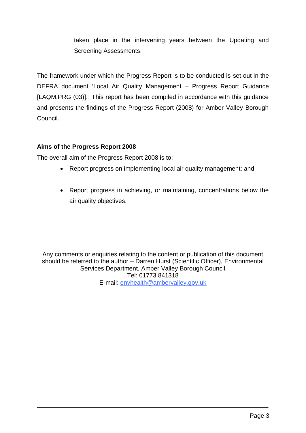taken place in the intervening years between the Updating and Screening Assessments.

The framework under which the Progress Report is to be conducted is set out in the DEFRA document 'Local Air Quality Management – Progress Report Guidance [LAQM.PRG (03)]. This report has been compiled in accordance with this guidance and presents the findings of the Progress Report (2008) for Amber Valley Borough Council.

#### **Aims of the Progress Report 2008**

The overall aim of the Progress Report 2008 is to:

- Report progress on implementing local air quality management: and
- Report progress in achieving, or maintaining, concentrations below the air quality objectives.

Any comments or enquiries relating to the content or publication of this document should be referred to the author – Darren Hurst (Scientific Officer), Environmental Services Department, Amber Valley Borough Council Tel: 01773 841318 E-mail: envhealth@ambervalley.gov.uk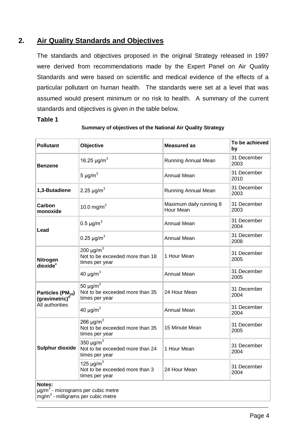## **2. Air Quality Standards and Objectives**

The standards and objectives proposed in the original Strategy released in 1997 were derived from recommendations made by the Expert Panel on Air Quality Standards and were based on scientific and medical evidence of the effects of a particular pollutant on human health. The standards were set at a level that was assumed would present minimum or no risk to health. A summary of the current standards and objectives is given in the table below.

#### **Table 1**

| <b>Pollutant</b>                                                                                           | Objective                                                                       | <b>Measured as</b>                   | To be achieved<br>by |  |
|------------------------------------------------------------------------------------------------------------|---------------------------------------------------------------------------------|--------------------------------------|----------------------|--|
| <b>Benzene</b>                                                                                             | 16.25 $\mu$ g/m <sup>3</sup>                                                    | Running Annual Mean                  | 31 December<br>2003  |  |
|                                                                                                            | 5 $\mu$ g/m <sup>3</sup>                                                        | <b>Annual Mean</b>                   | 31 December<br>2010  |  |
| 1,3-Butadiene                                                                                              | 2.25 $\mu$ g/m <sup>3</sup>                                                     | Running Annual Mean                  | 31 December<br>2003  |  |
| Carbon<br>monoxide                                                                                         | 10.0 mg/m $^{3}$                                                                | Maximum daily running 8<br>Hour Mean | 31 December<br>2003  |  |
| Lead                                                                                                       | $0.5 \,\mu g/m^3$                                                               | <b>Annual Mean</b>                   | 31 December<br>2004  |  |
|                                                                                                            | 0.25 $\mu$ g/m <sup>3</sup>                                                     | <b>Annual Mean</b>                   | 31 December<br>2008  |  |
| Nitrogen<br>dioxide <sup>c</sup>                                                                           | 200 $\mu$ g/m <sup>3</sup><br>Not to be exceeded more than 18<br>times per year | 1 Hour Mean                          | 31 December<br>2005  |  |
|                                                                                                            | 40 $\mu$ g/m <sup>3</sup>                                                       | Annual Mean                          | 31 December<br>2005  |  |
| Particles (PM <sub>10</sub> )<br>(gravimetric) <sup>d</sup>                                                | 50 $\mu$ g/m <sup>3</sup><br>Not to be exceeded more than 35<br>times per year  | 24 Hour Mean                         | 31 December<br>2004  |  |
| All authorities                                                                                            | 40 $\mu$ g/m <sup>3</sup>                                                       | <b>Annual Mean</b>                   | 31 December<br>2004  |  |
|                                                                                                            | 266 $\mu$ g/m <sup>3</sup><br>Not to be exceeded more than 35<br>times per year | 15 Minute Mean                       | 31 December<br>2005  |  |
| <b>Sulphur dioxide</b>                                                                                     | 350 $\mu$ g/m <sup>3</sup><br>Not to be exceeded more than 24<br>times per year | 1 Hour Mean                          | 31 December<br>2004  |  |
|                                                                                                            | 125 $\mu$ g/m <sup>3</sup><br>Not to be exceeded more than 3<br>times per year  | 24 Hour Mean                         | 31 December<br>2004  |  |
| Notes:<br>µg/m <sup>3</sup> - micrograms per cubic metre<br>mg/m <sup>3</sup> - milligrams per cubic metre |                                                                                 |                                      |                      |  |

#### **Summary of objectives of the National Air Quality Strategy**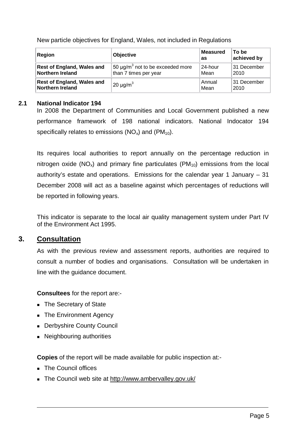New particle objectives for England, Wales, not included in Regulations

| Region                            | <b>Objective</b>                                              | To be<br><b>Measured</b><br>achieved by<br>as |             |
|-----------------------------------|---------------------------------------------------------------|-----------------------------------------------|-------------|
| <b>Rest of England, Wales and</b> | $\frac{150 \text{ }\mu\text{g}}{m^3}$ not to be exceeded more | 24-hour                                       | 31 December |
| <b>Northern Ireland</b>           | than 7 times per year                                         | Mean                                          | 2010        |
| <b>Rest of England, Wales and</b> | $20 \mu g/m^3$                                                | Annual                                        | 31 December |
| <b>Northern Ireland</b>           |                                                               | Mean                                          | 2010        |

#### **2.1 National Indicator 194**

In 2008 the Department of Communities and Local Government published a new performance framework of 198 national indicators. National Indocator 194 specifically relates to emissions  $(NO_x)$  and  $(PM_{10})$ .

Its requires local authorities to report annually on the percentage reduction in nitrogen oxide ( $NO_x$ ) and primary fine particulates ( $PM_{10}$ ) emissions from the local authority's estate and operations. Emissions for the calendar year 1 January – 31 December 2008 will act as a baseline against which percentages of reductions will be reported in following years.

This indicator is separate to the local air quality management system under Part IV of the Environment Act 1995.

## **3. Consultation**

As with the previous review and assessment reports, authorities are required to consult a number of bodies and organisations. Consultation will be undertaken in line with the guidance document.

**Consultees** for the report are:-

- The Secretary of State
- The Environment Agency
- **Derbyshire County Council**
- Neighbouring authorities

**Copies** of the report will be made available for public inspection at:-

- **The Council offices**
- The Council web site at http://www.ambervalley.gov.uk/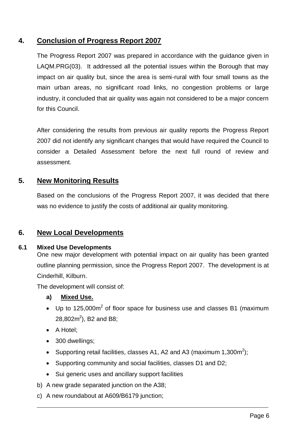## **4. Conclusion of Progress Report 2007**

The Progress Report 2007 was prepared in accordance with the guidance given in LAQM.PRG(03). It addressed all the potential issues within the Borough that may impact on air quality but, since the area is semi-rural with four small towns as the main urban areas, no significant road links, no congestion problems or large industry, it concluded that air quality was again not considered to be a major concern for this Council.

After considering the results from previous air quality reports the Progress Report 2007 did not identify any significant changes that would have required the Council to consider a Detailed Assessment before the next full round of review and assessment.

## **5. New Monitoring Results**

Based on the conclusions of the Progress Report 2007, it was decided that there was no evidence to justify the costs of additional air quality monitoring.

## **6. New Local Developments**

#### **6.1 Mixed Use Developments**

One new major development with potential impact on air quality has been granted outline planning permission, since the Progress Report 2007. The development is at Cinderhill, Kilburn.

The development will consist of:

#### **a) Mixed Use.**

- Up to 125,000 $m^2$  of floor space for business use and classes B1 (maximum 28,802 $m^2$ ), B2 and B8;
- A Hotel;
- 300 dwellings;
- Supporting retail facilities, classes A1, A2 and A3 (maximum 1,300m<sup>2</sup>);
- Supporting community and social facilities, classes D1 and D2;
- Sui generic uses and ancillary support facilities
- b) A new grade separated junction on the A38;
- c) A new roundabout at A609/B6179 junction;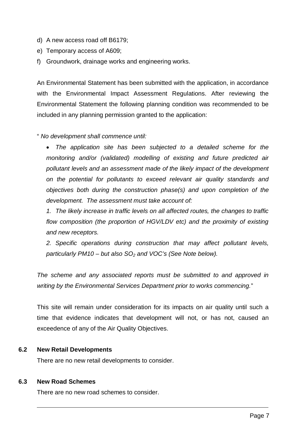- d) A new access road off B6179;
- e) Temporary access of A609;
- f) Groundwork, drainage works and engineering works.

An Environmental Statement has been submitted with the application, in accordance with the Environmental Impact Assessment Regulations. After reviewing the Environmental Statement the following planning condition was recommended to be included in any planning permission granted to the application:

#### " *No development shall commence until:*

 *The application site has been subjected to a detailed scheme for the monitoring and/or (validated) modelling of existing and future predicted air pollutant levels and an assessment made of the likely impact of the development on the potential for pollutants to exceed relevant air quality standards and objectives both during the construction phase(s) and upon completion of the development. The assessment must take account of:* 

*1. The likely increase in traffic levels on all affected routes, the changes to traffic*  flow composition (the proportion of HGV/LDV etc) and the proximity of existing *and new receptors.* 

*2. Specific operations during construction that may affect pollutant levels, particularly PM10 – but also SO2 and VOC's (See Note below).*

*The scheme and any associated reports must be submitted to and approved in writing by the Environmental Services Department prior to works commencing.*"

This site will remain under consideration for its impacts on air quality until such a time that evidence indicates that development will not, or has not, caused an exceedence of any of the Air Quality Objectives.

#### **6.2 New Retail Developments**

There are no new retail developments to consider.

#### **6.3 New Road Schemes**

There are no new road schemes to consider.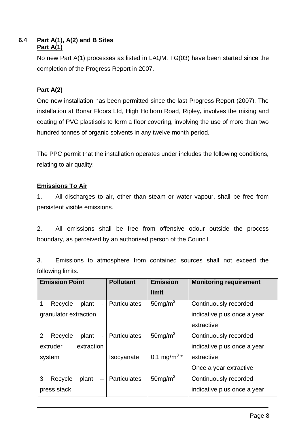#### **6.4 Part A(1), A(2) and B Sites Part A(1)**

No new Part A(1) processes as listed in LAQM. TG(03) have been started since the completion of the Progress Report in 2007.

## **Part A(2)**

One new installation has been permitted since the last Progress Report (2007). The installation at Bonar Floors Ltd, High Holborn Road, Ripley**,** involves the mixing and coating of PVC plastisols to form a floor covering, involving the use of more than two hundred tonnes of organic solvents in any twelve month period.

The PPC permit that the installation operates under includes the following conditions, relating to air quality:

#### **Emissions To Air**

1. All discharges to air, other than steam or water vapour, shall be free from persistent visible emissions.

2. All emissions shall be free from offensive odour outside the process boundary, as perceived by an authorised person of the Council.

3. Emissions to atmosphere from contained sources shall not exceed the following limits.

| <b>Emission Point</b>                             | <b>Pollutant</b>    | <b>Emission</b>           | <b>Monitoring requirement</b> |
|---------------------------------------------------|---------------------|---------------------------|-------------------------------|
|                                                   |                     | limit                     |                               |
| 1<br>Recycle<br>plant<br>$\overline{\phantom{a}}$ | <b>Particulates</b> | 50 $mg/m3$                | Continuously recorded         |
| granulator extraction                             |                     |                           | indicative plus once a year   |
|                                                   |                     |                           | extractive                    |
| 2<br>Recycle<br>plant<br>$\overline{\phantom{a}}$ | <b>Particulates</b> | $50$ mg/m $3$             | Continuously recorded         |
| extraction<br>extruder                            |                     |                           | indicative plus once a year   |
| system                                            | Isocyanate          | 0.1 mg/m <sup>3</sup> $*$ | extractive                    |
|                                                   |                     |                           | Once a year extractive        |
| 3<br>Recycle<br>plant<br>$\qquad \qquad -$        | <b>Particulates</b> | $50$ mg/m <sup>3</sup>    | Continuously recorded         |
| press stack                                       |                     |                           | indicative plus once a year   |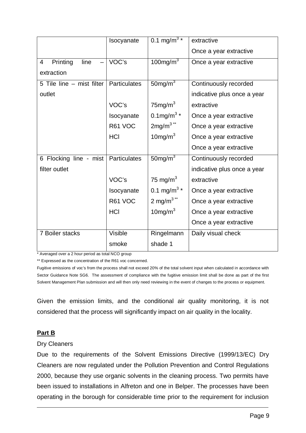|                           | Isocyanate   | $0.1 \text{ mg/m}^3$ *               | extractive                  |
|---------------------------|--------------|--------------------------------------|-----------------------------|
|                           |              |                                      | Once a year extractive      |
| Printing<br>line<br>4     | VOC's        | $100$ mg/m $3$                       | Once a year extractive      |
| extraction                |              |                                      |                             |
| 5 Tile line - mist filter | Particulates | $50$ mg/m $3$                        | Continuously recorded       |
| outlet                    |              |                                      | indicative plus once a year |
|                           | VOC's        | $75$ mg/m $3$                        | extractive                  |
|                           | Isocyanate   | 0.1mg/m <sup>3</sup> $*$             | Once a year extractive      |
|                           | R61 VOC      | $2mg/m3**$                           | Once a year extractive      |
|                           | <b>HCI</b>   | $10$ mg/m $3$                        | Once a year extractive      |
|                           |              |                                      | Once a year extractive      |
| 6 Flocking line - mist    | Particulates | $50$ mg/m $3$                        | Continuously recorded       |
| filter outlet             |              |                                      | indicative plus once a year |
|                           | VOC's        | 75 mg/m $3$                          | extractive                  |
|                           | Isocyanate   | 0.1 mg/m <sup>3 <math>*</math></sup> | Once a year extractive      |
|                           | R61 VOC      | 2 mg/m $3**$                         | Once a year extractive      |
|                           | <b>HCI</b>   | $10$ mg/m $3$                        | Once a year extractive      |
|                           |              |                                      | Once a year extractive      |
| 7 Boiler stacks           | Visible      | Ringelmann                           | Daily visual check          |
|                           | smoke        | shade 1                              |                             |

\* Averaged over a 2 hour period as total NCO group

\*\* Expressed as the concentration of the R61 voc concerned.

Fugitive emissions of voc's from the process shall not exceed 20% of the total solvent input when calculated in accordance with Sector Guidance Note SG6. The assessment of compliance with the fugitive emission limit shall be done as part of the first Solvent Management Plan submission and will then only need reviewing in the event of changes to the process or equipment.

Given the emission limits, and the conditional air quality monitoring, it is not considered that the process will significantly impact on air quality in the locality.

#### **Part B**

#### Dry Cleaners

Due to the requirements of the Solvent Emissions Directive (1999/13/EC) Dry Cleaners are now regulated under the Pollution Prevention and Control Regulations 2000, because they use organic solvents in the cleaning process. Two permits have been issued to installations in Alfreton and one in Belper. The processes have been operating in the borough for considerable time prior to the requirement for inclusion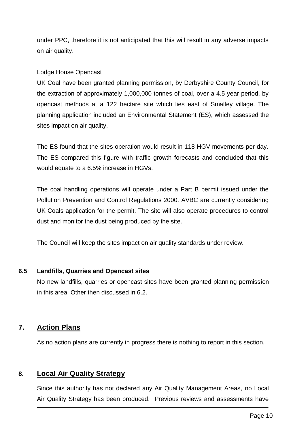under PPC, therefore it is not anticipated that this will result in any adverse impacts on air quality.

#### Lodge House Opencast

UK Coal have been granted planning permission, by Derbyshire County Council, for the extraction of approximately 1,000,000 tonnes of coal, over a 4.5 year period, by opencast methods at a 122 hectare site which lies east of Smalley village. The planning application included an Environmental Statement (ES), which assessed the sites impact on air quality.

The ES found that the sites operation would result in 118 HGV movements per day. The ES compared this figure with traffic growth forecasts and concluded that this would equate to a 6.5% increase in HGVs.

The coal handling operations will operate under a Part B permit issued under the Pollution Prevention and Control Regulations 2000. AVBC are currently considering UK Coals application for the permit. The site will also operate procedures to control dust and monitor the dust being produced by the site.

The Council will keep the sites impact on air quality standards under review.

#### **6.5 Landfills, Quarries and Opencast sites**

No new landfills, quarries or opencast sites have been granted planning permission in this area. Other then discussed in 6.2.

## **7. Action Plans**

As no action plans are currently in progress there is nothing to report in this section.

## **8. Local Air Quality Strategy**

Since this authority has not declared any Air Quality Management Areas, no Local Air Quality Strategy has been produced. Previous reviews and assessments have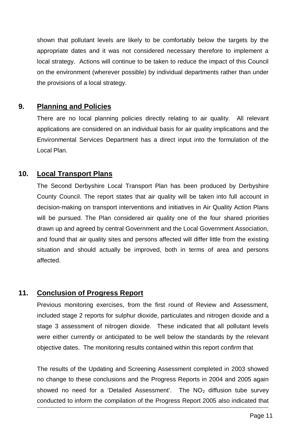shown that pollutant levels are likely to be comfortably below the targets by the appropriate dates and it was not considered necessary therefore to implement a local strategy. Actions will continue to be taken to reduce the impact of this Council on the environment (wherever possible) by individual departments rather than under the provisions of a local strategy.

## **9. Planning and Policies**

There are no local planning policies directly relating to air quality. All relevant applications are considered on an individual basis for air quality implications and the Environmental Services Department has a direct input into the formulation of the Local Plan.

## **10. Local Transport Plans**

The Second Derbyshire Local Transport Plan has been produced by Derbyshire County Council. The report states that air quality will be taken into full account in decision-making on transport interventions and initiatives in Air Quality Action Plans will be pursued. The Plan considered air quality one of the four shared priorities drawn up and agreed by central Government and the Local Government Association, and found that air quality sites and persons affected will differ little from the existing situation and should actually be improved, both in terms of area and persons affected.

## **11. Conclusion of Progress Report**

Previous monitoring exercises, from the first round of Review and Assessment, included stage 2 reports for sulphur dioxide, particulates and nitrogen dioxide and a stage 3 assessment of nitrogen dioxide. These indicated that all pollutant levels were either currently or anticipated to be well below the standards by the relevant objective dates. The monitoring results contained within this report confirm that

The results of the Updating and Screening Assessment completed in 2003 showed no change to these conclusions and the Progress Reports in 2004 and 2005 again showed no need for a 'Detailed Assessment'. The  $NO<sub>2</sub>$  diffusion tube survey conducted to inform the compilation of the Progress Report 2005 also indicated that